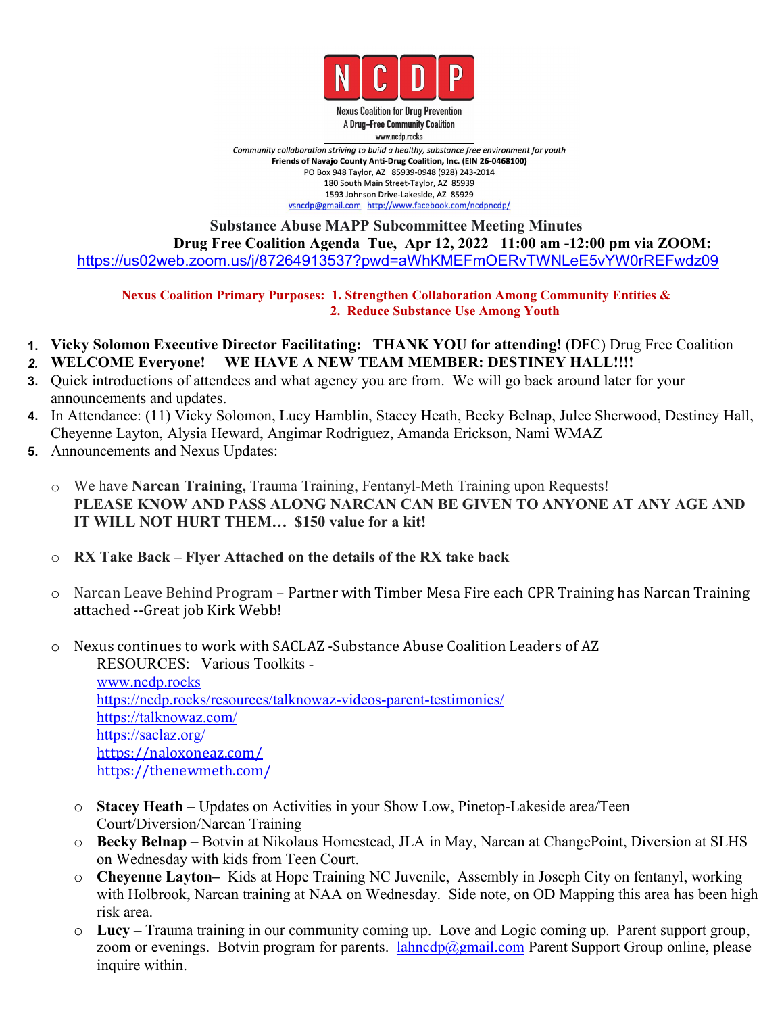

**Nexus Coalition for Drug Prevention** A Drug-Free Community Coalition www.ncdp.rocks

Community collaboration striving to build a healthy, substance free environment for youth Friends of Navajo County Anti-Drug Coalition, Inc. (EIN 26-0468100) PO Box 948 Taylor, AZ 85939-0948 (928) 243-2014 180 South Main Street-Taylor, AZ 85939 1593 Johnson Drive-Lakeside, AZ 85929 vsncdp@gmail.com http://www.facebook.com/ncdpncdp/

## **Substance Abuse MAPP Subcommittee Meeting Minutes Drug Free Coalition Agenda Tue, Apr 12, 2022 11:00 am -12:00 pm via ZOOM:** <https://us02web.zoom.us/j/87264913537?pwd=aWhKMEFmOERvTWNLeE5vYW0rREFwdz09>

**Nexus Coalition Primary Purposes: 1. Strengthen Collaboration Among Community Entities & 2. Reduce Substance Use Among Youth**

- **1. Vicky Solomon Executive Director Facilitating: THANK YOU for attending!** (DFC) Drug Free Coalition *2.* **WELCOME Everyone! WE HAVE A NEW TEAM MEMBER: DESTINEY HALL!!!!**
- **3.** Quick introductions of attendees and what agency you are from. We will go back around later for your announcements and updates.
- **4.** In Attendance: (11) Vicky Solomon, Lucy Hamblin, Stacey Heath, Becky Belnap, Julee Sherwood, Destiney Hall, Cheyenne Layton, Alysia Heward,Angimar Rodriguez, Amanda Erickson, Nami WMAZ
- **5.** Announcements and Nexus Updates:
	- o We have **Narcan Training,** Trauma Training, Fentanyl-Meth Training upon Requests! **PLEASE KNOW AND PASS ALONG NARCAN CAN BE GIVEN TO ANYONE AT ANY AGE AND IT WILL NOT HURT THEM… \$150 value for a kit!**
	- o **RX Take Back – Flyer Attached on the details ofthe RX take back**
	- $\circ$  Narcan Leave Behind Program Partner with Timber Mesa Fire each CPR Training has Narcan Training attached --Great job Kirk Webb!
	- o Nexus continues to work with SACLAZ -Substance Abuse Coalition Leaders of AZ RESOURCES: Various Toolkits [www.ncdp.rocks](http://www.ncdp.rocks) <https://ncdp.rocks/resources/talknowaz-videos-parent-testimonies/> [https://talknowaz.com/](https://www.google.com/url?q=https://talknowaz.com/&sa=D&source=calendar&usd=2&usg=AOvVaw3oaiE00kVKA5zY7O6hL5r7) [https://saclaz.org/](https://www.google.com/url?q=https://saclaz.org/&sa=D&source=calendar&usd=2&usg=AOvVaw2DJgzl5DWUkcQJ3xLlsE15) [https://naloxoneaz.com/](https://www.google.com/url?q=https://naloxoneaz.com/&sa=D&source=calendar&usd=2&usg=AOvVaw29DHHlCYkYtuf9R0VnQi-p) <https://thenewmeth.com/>
		- o **Stacey Heath** Updates on Activities in your Show Low, Pinetop-Lakeside area/Teen Court/Diversion/Narcan Training
		- o **Becky Belnap** Botvin at Nikolaus Homestead, JLA in May, Narcan at ChangePoint, Diversion at SLHS on Wednesday with kids from Teen Court.
		- o **Cheyenne Layton–** Kids at Hope Training NC Juvenile, Assembly in Joseph City on fentanyl, working with Holbrook, Narcan training at NAA on Wednesday. Side note, on OD Mapping this area has been high risk area.
		- <sup>o</sup> **Lucy** Trauma training in our community coming up.Love and Logic coming up. Parent support group, zoom or evenings. Botvin program for parents. [lahncdp@gmail.com](mailto:lahncdp@gmail.com) Parent Support Group online, please inquire within.